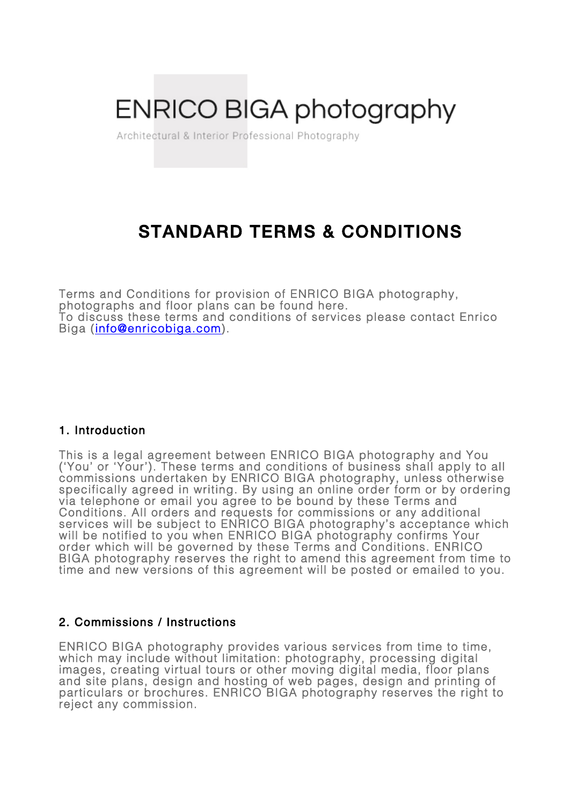# **ENRICO BIGA photography**

Architectural & Interior Professional Photography

# STANDARD TERMS & CONDITIONS

Terms and Conditions for provision of ENRICO BIGA photography, photographs and floor plans can be found here. To discuss these terms and conditions of services please contact Enrico Biga (info@enricobiga.com).

#### 1. Introduction

This is a legal agreement between ENRICO BIGA photography and You ('You' or 'Your'). These terms and conditions of business shall apply to all commissions undertaken by ENRICO BIGA photography, unless otherwise specifically agreed in writing. By using an online order form or by ordering via telephone or email you agree to be bound by these Terms and Conditions. All orders and requests for commissions or any additional services will be subject to ENRICO BIGA photography's acceptance which<br>will be notified to you when ENRICO BIGA photography confirms Your order which will be governed by these Terms and Conditions. ENRICO BIGA photography reserves the right to amend this agreement from time to time and new versions of this agreement will be posted or emailed to you.

#### 2. Commissions / Instructions

ENRICO BIGA photography provides various services from time to time, which may include without limitation: photography, processing digital images, creating virtual tours or other moving digital media, floor plans and site plans, design and hosting of web pages, design and printing of particulars or brochures. ENRICO BIGA photography reserves the right to<br>reject any commission.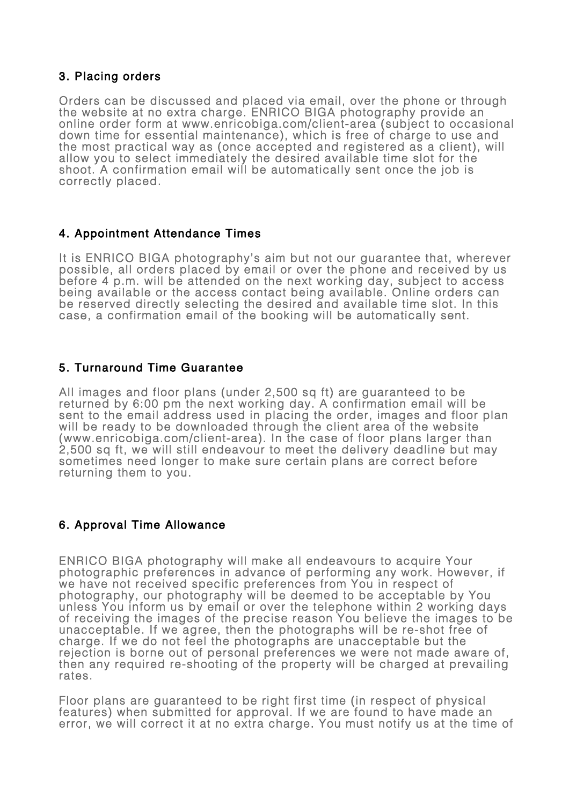### 3. Placing orders

Orders can be discussed and placed via email, over the phone or through<br>the website at no extra charge. ENRICO BIGA photography provide an<br>online order form at www.enricobiga.com/client-area (subject to occasional<br>down tim the most practical way as (once accepted and registered as a client), will allow you to select immediately the desired available time slot for the shoot. A confirmation email will be automatically sent once the job is correctly placed.

# 4. Appointment Attendance Times

It is ENRICO BIGA photography's aim but not our guarantee that, wherever possible, all orders placed by email or over the phone and received by us before 4 p.m. will be attended on the next working day, subject to access being available or the access contact being available. Online orders can be reserved directly selecting the desired and available time slot. In this case, a confirmation email of the booking will be automatically sent.

# 5. Turnaround Time Guarantee

All images and floor plans (under 2,500 sq ft) are guaranteed to be returned by 6:00 pm the next working day. A confirmation email will be sent to the email address used in placing the order, images and floor plan will be ready to be downloaded through the client area of the website (www.enricobiga.com/client-area). In the case of floor plans larger than 2,500 sq ft, we will still endeavour to meet the delivery deadline but may sometimes need longer to make sure certain plans are correct before returning them to you.

#### 6. Approval Time Allowance

ENRICO BIGA photography will make all endeavours to acquire Your photographic preferences in advance of performing any work. However, if we have not received specific preferences from You in respect of photography, our photography will be deemed to be acceptable by You unless You inform us by email or over the telephone within 2 working days of receiving the images of the precise reason You believe the images to be unacceptable. If we agree, then the photographs will be re-shot free of charge. If we do not feel the photographs are unacceptable but the rejection is borne out of personal preferences we were not made aware of, then any required re-shooting of the property will be charged at prevailing rates.

Floor plans are guaranteed to be right first time (in respect of physical features) when submitted for approval. If we are found to have made an error, we will correct it at no extra charge. You must notify us at the time of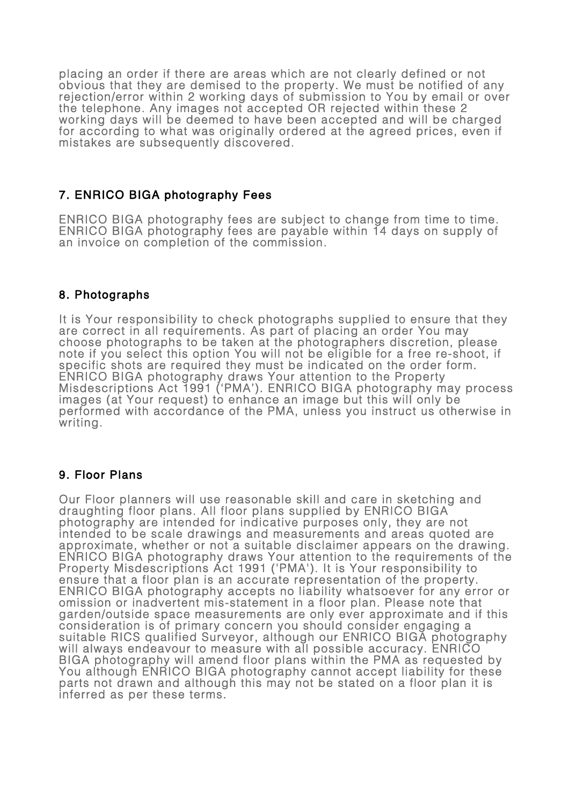placing an order if there are areas which are not clearly defined or not obvious that they are demised to the property. We must be notified of any rejection/error within 2 working days of submission to You by email or over the telephone. Any images not accepted OR rejected within these 2 working days will be deemed to have been accepted and will be charged for according to what was originally ordered at the agreed prices, even if mistakes are subsequently discovered.

# 7. ENRICO BIGA photography Fees

ENRICO BIGA photography fees are subject to change from time to time. ENRICO BIGA photography fees are payable within 14 days on supply of an invoice on completion of the commission.

# 8. Photographs

It is Your responsibility to check photographs supplied to ensure that they are correct in all requirements. As part of placing an order You may choose photographs to be taken at the photographers discretion, please note if you select this option You will not be eligible for a free re-shoot, if specific shots are required they must be indicated on the order form. ENRICO BIGA photography draws Your attention to the Property Misdescriptions Act 1991 ('PMA'). ENRICO BIGA photography may process images (at Your request) to enhance an image but this will only be performed with accordance of the PMA, unless you instruct us otherwise in writing.

#### 9. Floor Plans

Our Floor planners will use reasonable skill and care in sketching and<br>draughting floor plans. All floor plans supplied by ENRICO BIGA<br>photography are intended for indicative purposes only, they are not<br>intended to be scal approximate, whether or not a suitable disclaimer appears on the drawing.<br>ENRICO BIGA photography draws Your attention to the requirements of the Property Misdescriptions Act 1991 ('PMA'). It is Your responsibility to ensure that a floor plan is an accurate representation of the property. ENRICO BIGA photography accepts no liability whatsoever for any error or omission or inadvertent mis-statement in a floor plan. Please note that garden/outside space measurements are only ever approximate and if this consideration is of primary concern you should consider engaging a suitable RICS qualified Surveyor, although our ENRICO BIGA photography will always endeavour to measure with all possible accuracy. ENRICO BIGA photography will amend floor plans within the PMA as requested by You although ENRICO BIGA photography cannot accept liability for these parts not drawn and although this may not be stated on a floor plan it is inferred as per these terms.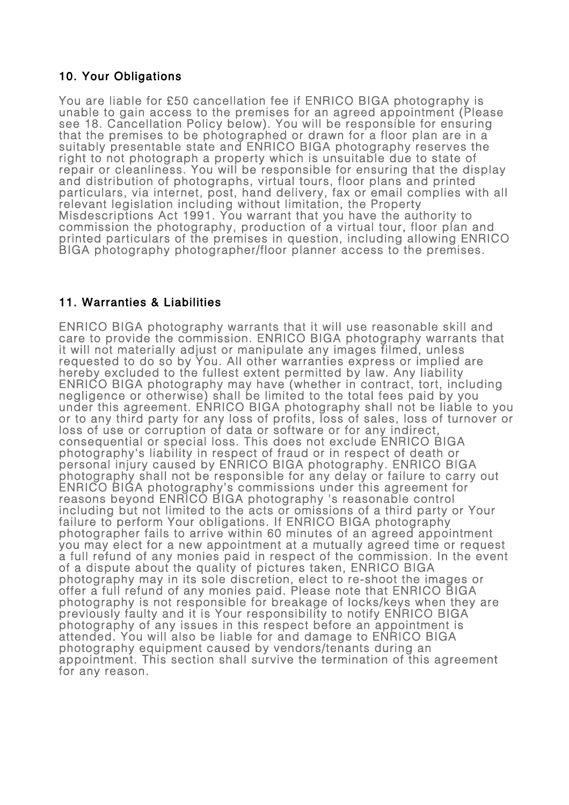#### 10. Your Obligations

You are liable for £50 cancellation fee if ENRICO BIGA photography is unable to gain access to the premises for an agreed appointment (Please see 18. Cancellation Policy below). You will be responsible for ensuring that the premises to be photographed or drawn for a floor plan are in a suitably presentable state and ENRICO BIGA photography reserves the right to not photograph a property which is unsuitable due to state of repair or cleanliness. You will be responsible for ensuring that the display and distribution of photographs, virtual tours, floor plans and printed particulars, via internet, post, hand delivery, fax or email complies with all<br>relevant legislation including without limitation, the Property Misdescriptions Act 1991. You warrant that you have the authority to commission the photography, production of a virtual tour, floor plan and<br>printed particulars of the premises in question, including allowing ENRICO printed particulars of the premiser/floor planner access to the premises.

# 11. Warranties & Liabilities

ENRICO BIGA photography warrants that it will use reasonable skill and care to provide the commission. ENRICO BIGA photography warrants that it will not materially adjust or manipulate any images filmed, unless requested to do so by You. All other warranties express or implied are hereby excluded to the fullest extent permitted by law. Any liability<br>ENRICO BIGA photography may have (whether in contract, tort, including<br>negligence or otherwise) shall be limited to the total fees paid by you under this agreement. ENRICO BIGA photography shall not be liable to you<br>or to any third party for any loss of profits, loss of sales, loss of turnover or or to any third party for any loss of profits, loss of sales, loss of turnover or<br>loss of use or corruption of data or software or for any indirect, consequential or special loss. This does not exclude ENRICO BIGA photography's liability in respect of fraud or in respect of death or<br>personal injury caused by ENRICO BIGA photography. ENRICO BIGA<br>photography shall not be responsible for any delay or failure to carry out<br>ENRICO BIGA ph including but not limited to the acts or omissions of a third party or Your photographer fails to arrive within 60 minutes of an agreed appointment<br>you may elect for a new appointment at a mutually agreed time or request a full refund of any monies paid in respect of the commission. In the event of a dispute about the quality of pictures taken, ENRICO BIGA photography may in its sole discretion, elect to re-shoot the images or<br>offer a full refund of any monies paid. Please note that ENRICO BIGA<br>photography is not responsible for breakage of locks/keys when they are previously faulty and it is Your responsibility to notify ENRICO BIGA<br>photography of any issues in this respect before an appointment is<br>attended. You will also be liable for and damage to ENRICO BIGA<br>photography equipment appointment. This section shall survive the termination of this agreement for any reason.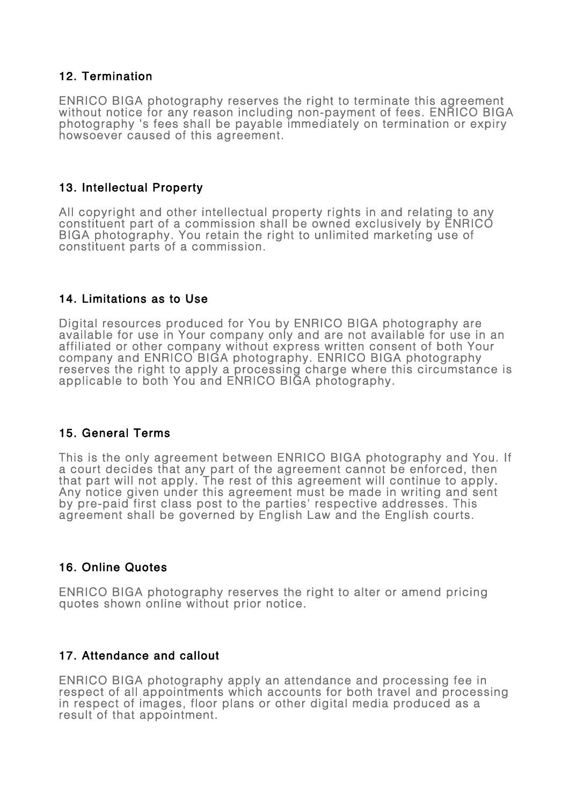#### 12. Termination

ENRICO BIGA photography reserves the right to terminate this agreement<br>without notice for any reason including non-payment of fees. ENRICO BIGA<br>photography 's fees shall be payable immediately on termination or expiry<br>hows

#### 13. Intellectual Property

All copyright and other intellectual property rights in and relating to any constituent part of a commission shall be owned exclusively by ENRICO BIGA photography. You retain the right to unlimited marketing use of constituent parts of a commission.

#### 14. Limitations as to Use

Digital resources produced for You by ENRICO BIGA photography are available for use in Your company only and are not available for use in an affiliated or other company without express written consent of both Your company and ENRICO BIGA photography. ENRICO BIGA photography reserves the right to apply a processing charge where this circumstance is applicable to both You and ENRICO BIGA photography.

#### 15. General Terms

This is the only agreement between ENRICO BIGA photography and You. If a court decides that any part of the agreement cannot be enforced, then that part will not apply. The rest of this agreement will continue to apply.<br>Any notice given under this agreement must be made in writing and sent by pre-paid first class post to the parties' respective addresses. This agreement shall be governed by English Law and the English courts.

#### 16. Online Quotes

ENRICO BIGA photography reserves the right to alter or amend pricing quotes shown online without prior notice.

#### 17. Attendance and callout

ENRICO BIGA photography apply an attendance and processing fee in respect of all appointments which accounts for both travel and processing in respect of images, floor plans or other digital media produced as a result of that appointment.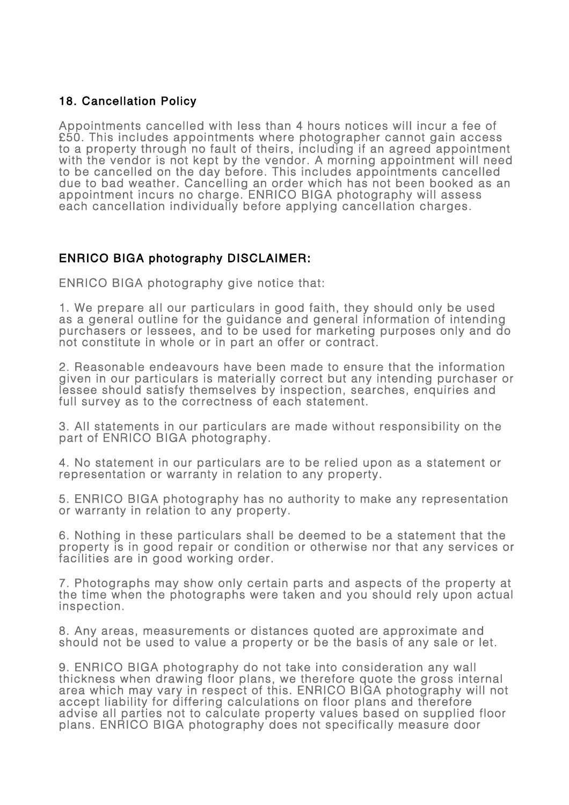### 18. Cancellation Policy

Appointments cancelled with less than 4 hours notices will incur a fee of £50. This includes appointments where photographer cannot gain access to a property through no fault of theirs, including if an agreed appointment with the vendor is not kept by the vendor. A morning appointment will need to be cancelled on the day before. This includes appointments cancelled due to bad weather. Cancelling an order which has not been booked as an appointment incurs no charge. ENRICO BIGA photography will assess each cancellation individually before applying cancellation charges.

# ENRICO BIGA photography DISCLAIMER:

ENRICO BIGA photography give notice that:

1. We prepare all our particulars in good faith, they should only be used as a general outline for the guidance and general information of intending purchasers or lessees, and to be used for marketing purposes only and do not constitute in whole or in part an offer or contract.

2. Reasonable endeavours have been made to ensure that the information given in our particulars is materially correct but any intending purchaser or lessee should satisfy themselves by inspection, searches, enquiries and<br>full survey as to the correctness of each statement.

3. All statements in our particulars are made without responsibility on the part of ENRICO BIGA photography.

4. No statement in our particulars are to be relied upon as a statement or representation or warranty in relation to any property.

5. ENRICO BIGA photography has no authority to make any representation or warranty in relation to any property.

6. Nothing in these particulars shall be deemed to be a statement that the property is in good repair or condition or otherwise nor that any services or facilities are in good working order.

7. Photographs may show only certain parts and aspects of the property at the time when the photographs were taken and you should rely upon actual inspection.

8. Any areas, measurements or distances quoted are approximate and should not be used to value a property or be the basis of any sale or let.

9. ENRICO BIGA photography do not take into consideration any wall thickness when drawing floor plans, we therefore quote the gross internal area which may vary in respect of this. ENRICO BIGA photography will not accept liability for differing calculations on floor plans and therefore advise all parties not to calculate property values based on supplied floor plans. ENRICO BIGA photography does not specifically measure door